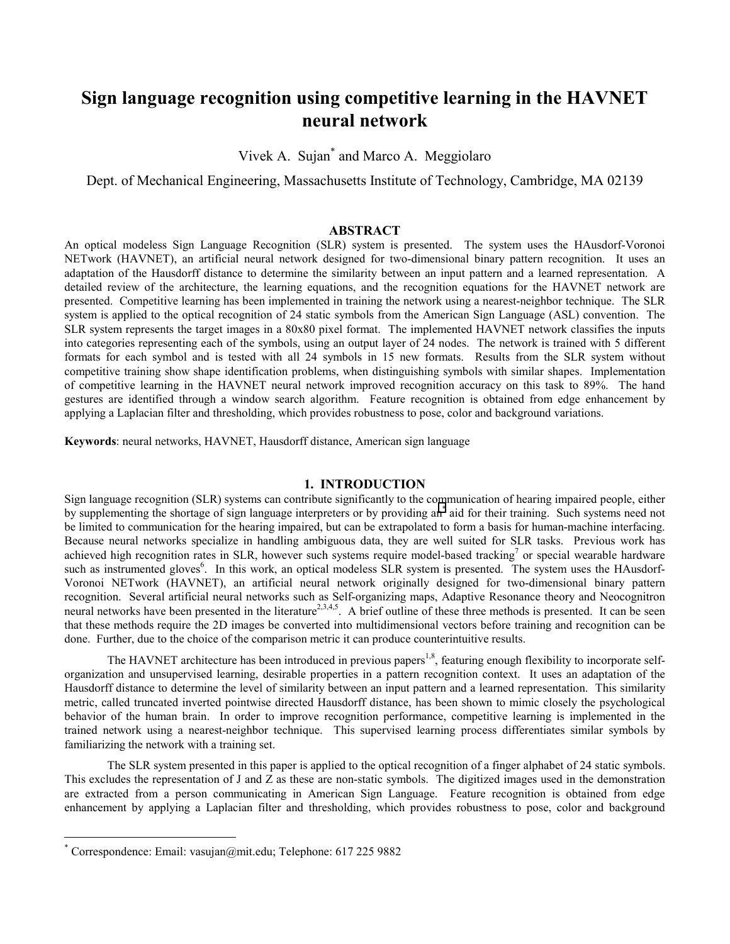# **Sign language recognition using competitive learning in the HAVNET neural network**

Vivek A. Sujan\* and Marco A. Meggiolaro

Dept. of Mechanical Engineering, Massachusetts Institute of Technology, Cambridge, MA 02139

# **ABSTRACT**

An optical modeless Sign Language Recognition (SLR) system is presented. The system uses the HAusdorf-Voronoi NETwork (HAVNET), an artificial neural network designed for two-dimensional binary pattern recognition. It uses an adaptation of the Hausdorff distance to determine the similarity between an input pattern and a learned representation. A detailed review of the architecture, the learning equations, and the recognition equations for the HAVNET network are presented. Competitive learning has been implemented in training the network using a nearest-neighbor technique. The SLR system is applied to the optical recognition of 24 static symbols from the American Sign Language (ASL) convention. The SLR system represents the target images in a 80x80 pixel format. The implemented HAVNET network classifies the inputs into categories representing each of the symbols, using an output layer of 24 nodes. The network is trained with 5 different formats for each symbol and is tested with all 24 symbols in 15 new formats. Results from the SLR system without competitive training show shape identification problems, when distinguishing symbols with similar shapes. Implementation of competitive learning in the HAVNET neural network improved recognition accuracy on this task to 89%. The hand gestures are identified through a window search algorithm. Feature recognition is obtained from edge enhancement by applying a Laplacian filter and thresholding, which provides robustness to pose, color and background variations.

**Keywords**: neural networks, HAVNET, Hausdorff distance, American sign language

## **1. INTRODUCTION**

Sign language recognition (SLR) systems can contribute significantly to the communication of hearing impaired people, either by supplementing the shortage of sign language interpreters or by providing an\* aid for their training. Such systems need not be limited to communication for the hearing impaired, but can be extrapolated to form a basis for human-machine interfacing. Because neural networks specialize in handling ambiguous data, they are well suited for SLR tasks. Previous work has achieved high recognition rates in SLR, however such systems require model-based tracking<sup>7</sup> or special wearable hardware such as instrumented gloves<sup>6</sup>. In this work, an optical modeless SLR system is presented. The system uses the HAusdorf-Voronoi NETwork (HAVNET), an artificial neural network originally designed for two-dimensional binary pattern recognition. Several artificial neural networks such as Self-organizing maps, Adaptive Resonance theory and Neocognitron neural networks have been presented in the literature<sup>2,3,4,5</sup>. A brief outline of these three methods is presented. It can be seen that these methods require the 2D images be converted into multidimensional vectors before training and recognition can be done. Further, due to the choice of the comparison metric it can produce counterintuitive results.

The HAVNET architecture has been introduced in previous papers<sup>1,8</sup>, featuring enough flexibility to incorporate selforganization and unsupervised learning, desirable properties in a pattern recognition context. It uses an adaptation of the Hausdorff distance to determine the level of similarity between an input pattern and a learned representation. This similarity metric, called truncated inverted pointwise directed Hausdorff distance, has been shown to mimic closely the psychological behavior of the human brain. In order to improve recognition performance, competitive learning is implemented in the trained network using a nearest-neighbor technique. This supervised learning process differentiates similar symbols by familiarizing the network with a training set.

The SLR system presented in this paper is applied to the optical recognition of a finger alphabet of 24 static symbols. This excludes the representation of J and Z as these are non-static symbols. The digitized images used in the demonstration are extracted from a person communicating in American Sign Language. Feature recognition is obtained from edge enhancement by applying a Laplacian filter and thresholding, which provides robustness to pose, color and background

 $\overline{a}$ 

<sup>\*</sup> Correspondence: Email: vasujan@mit.edu; Telephone: 617 225 9882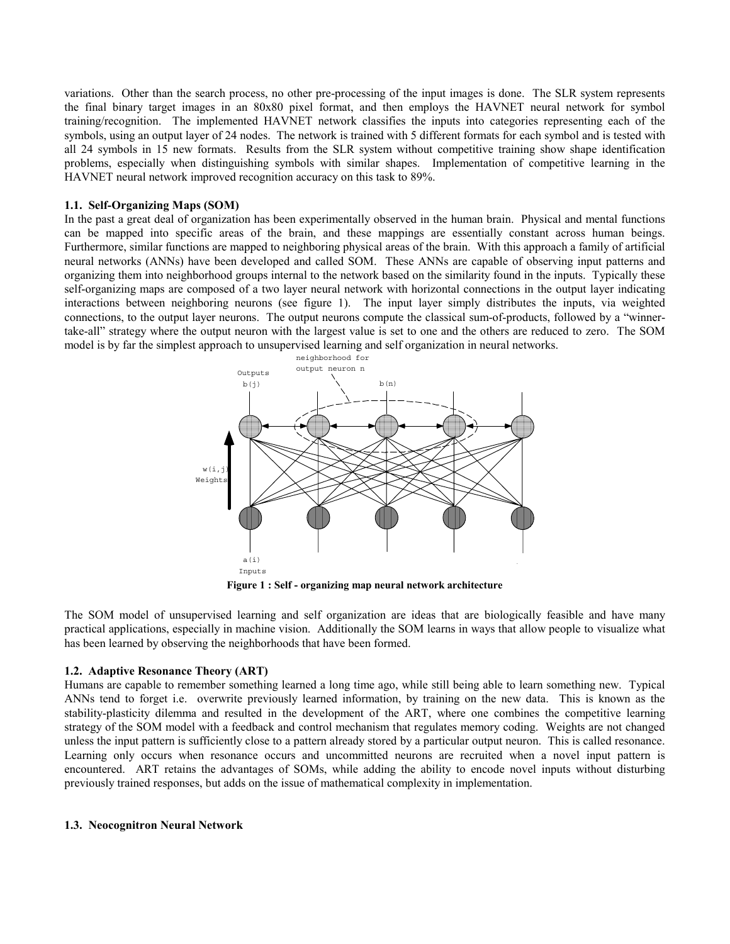variations. Other than the search process, no other pre-processing of the input images is done. The SLR system represents the final binary target images in an 80x80 pixel format, and then employs the HAVNET neural network for symbol training/recognition. The implemented HAVNET network classifies the inputs into categories representing each of the symbols, using an output layer of 24 nodes. The network is trained with 5 different formats for each symbol and is tested with all 24 symbols in 15 new formats. Results from the SLR system without competitive training show shape identification problems, especially when distinguishing symbols with similar shapes. Implementation of competitive learning in the HAVNET neural network improved recognition accuracy on this task to 89%.

## **1.1. Self-Organizing Maps (SOM)**

In the past a great deal of organization has been experimentally observed in the human brain. Physical and mental functions can be mapped into specific areas of the brain, and these mappings are essentially constant across human beings. Furthermore, similar functions are mapped to neighboring physical areas of the brain. With this approach a family of artificial neural networks (ANNs) have been developed and called SOM. These ANNs are capable of observing input patterns and organizing them into neighborhood groups internal to the network based on the similarity found in the inputs. Typically these self-organizing maps are composed of a two layer neural network with horizontal connections in the output layer indicating interactions between neighboring neurons (see figure 1). The input layer simply distributes the inputs, via weighted connections, to the output layer neurons. The output neurons compute the classical sum-of-products, followed by a "winnertake-all" strategy where the output neuron with the largest value is set to one and the others are reduced to zero. The SOM model is by far the simplest approach to unsupervised learning and self organization in neural networks.



**Figure 1 : Self - organizing map neural network architecture**

The SOM model of unsupervised learning and self organization are ideas that are biologically feasible and have many practical applications, especially in machine vision. Additionally the SOM learns in ways that allow people to visualize what has been learned by observing the neighborhoods that have been formed.

#### **1.2. Adaptive Resonance Theory (ART)**

Humans are capable to remember something learned a long time ago, while still being able to learn something new. Typical ANNs tend to forget i.e. overwrite previously learned information, by training on the new data. This is known as the stability-plasticity dilemma and resulted in the development of the ART, where one combines the competitive learning strategy of the SOM model with a feedback and control mechanism that regulates memory coding. Weights are not changed unless the input pattern is sufficiently close to a pattern already stored by a particular output neuron. This is called resonance. Learning only occurs when resonance occurs and uncommitted neurons are recruited when a novel input pattern is encountered. ART retains the advantages of SOMs, while adding the ability to encode novel inputs without disturbing previously trained responses, but adds on the issue of mathematical complexity in implementation.

#### **1.3. Neocognitron Neural Network**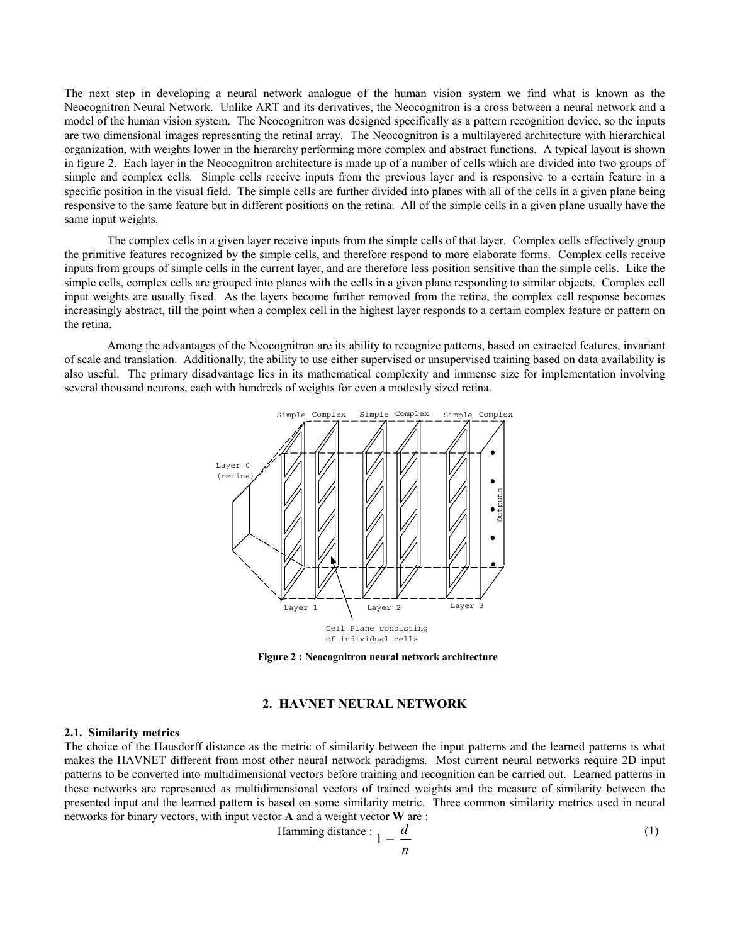The next step in developing a neural network analogue of the human vision system we find what is known as the Neocognitron Neural Network. Unlike ART and its derivatives, the Neocognitron is a cross between a neural network and a model of the human vision system. The Neocognitron was designed specifically as a pattern recognition device, so the inputs are two dimensional images representing the retinal array. The Neocognitron is a multilayered architecture with hierarchical organization, with weights lower in the hierarchy performing more complex and abstract functions. A typical layout is shown in figure 2. Each layer in the Neocognitron architecture is made up of a number of cells which are divided into two groups of simple and complex cells. Simple cells receive inputs from the previous layer and is responsive to a certain feature in a specific position in the visual field. The simple cells are further divided into planes with all of the cells in a given plane being responsive to the same feature but in different positions on the retina. All of the simple cells in a given plane usually have the same input weights.

The complex cells in a given layer receive inputs from the simple cells of that layer. Complex cells effectively group the primitive features recognized by the simple cells, and therefore respond to more elaborate forms. Complex cells receive inputs from groups of simple cells in the current layer, and are therefore less position sensitive than the simple cells. Like the simple cells, complex cells are grouped into planes with the cells in a given plane responding to similar objects. Complex cell input weights are usually fixed. As the layers become further removed from the retina, the complex cell response becomes increasingly abstract, till the point when a complex cell in the highest layer responds to a certain complex feature or pattern on the retina.

Among the advantages of the Neocognitron are its ability to recognize patterns, based on extracted features, invariant of scale and translation. Additionally, the ability to use either supervised or unsupervised training based on data availability is also useful. The primary disadvantage lies in its mathematical complexity and immense size for implementation involving several thousand neurons, each with hundreds of weights for even a modestly sized retina.



**Figure 2 : Neocognitron neural network architecture**

# **2. HAVNET NEURAL NETWORK**

#### **2.1. Similarity metrics**

The choice of the Hausdorff distance as the metric of similarity between the input patterns and the learned patterns is what makes the HAVNET different from most other neural network paradigms. Most current neural networks require 2D input patterns to be converted into multidimensional vectors before training and recognition can be carried out. Learned patterns in these networks are represented as multidimensional vectors of trained weights and the measure of similarity between the presented input and the learned pattern is based on some similarity metric. Three common similarity metrics used in neural networks for binary vectors, with input vector **A** and a weight vector **W** are :

$$
Hamming distance: \frac{d}{1 - \frac{d}{n}} \tag{1}
$$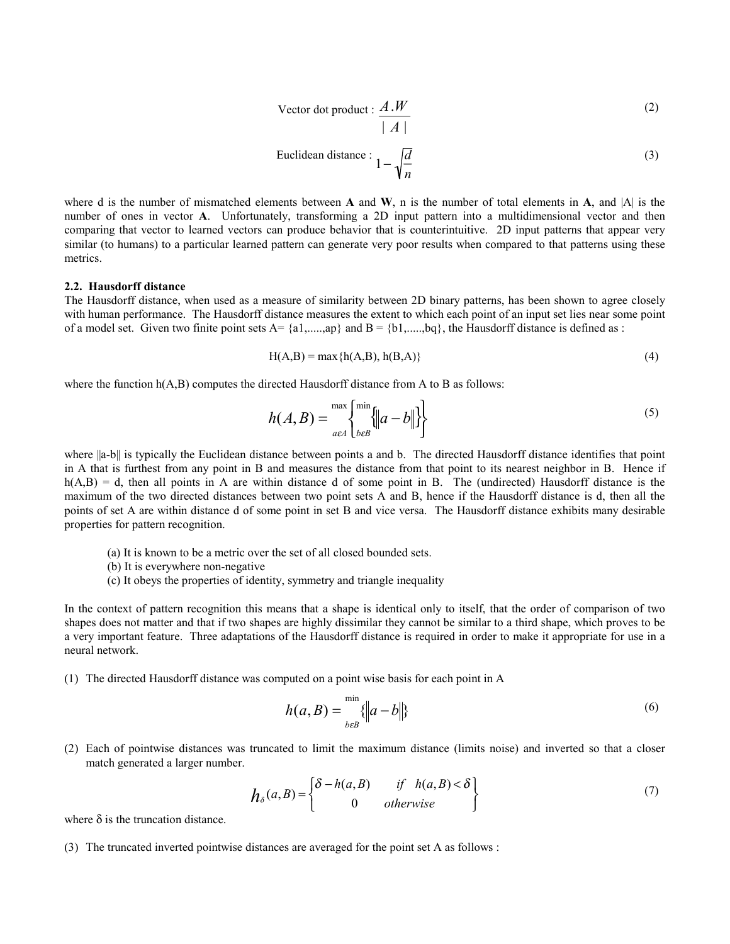Vector dot product : 
$$
\frac{A \cdot W}{|A|}
$$
 (2)

Euclidean distance : 
$$
1 - \sqrt{\frac{d}{n}}
$$
 (3)

where d is the number of mismatched elements between **A** and **W**, n is the number of total elements in **A**, and |A| is the number of ones in vector **A**. Unfortunately, transforming a 2D input pattern into a multidimensional vector and then comparing that vector to learned vectors can produce behavior that is counterintuitive. 2D input patterns that appear very similar (to humans) to a particular learned pattern can generate very poor results when compared to that patterns using these metrics.

#### **2.2. Hausdorff distance**

The Hausdorff distance, when used as a measure of similarity between 2D binary patterns, has been shown to agree closely with human performance. The Hausdorff distance measures the extent to which each point of an input set lies near some point of a model set. Given two finite point sets  $A = \{a1, \ldots, ap\}$  and  $B = \{b1, \ldots, bq\}$ , the Hausdorff distance is defined as :

$$
H(A,B) = \max\{h(A,B), h(B,A)\}\tag{4}
$$

where the function  $h(A,B)$  computes the directed Hausdorff distance from A to B as follows:

$$
h(A,B) = \max_{a \in A} \left\{ \min_{b \in B} \left\{ \|a - b\| \right\} \right\}
$$
 (5)

where  $\|a-b\|$  is typically the Euclidean distance between points a and b. The directed Hausdorff distance identifies that point in A that is furthest from any point in B and measures the distance from that point to its nearest neighbor in B. Hence if  $h(A,B) = d$ , then all points in A are within distance d of some point in B. The (undirected) Hausdorff distance is the maximum of the two directed distances between two point sets A and B, hence if the Hausdorff distance is d, then all the points of set A are within distance d of some point in set B and vice versa. The Hausdorff distance exhibits many desirable properties for pattern recognition.

- (a) It is known to be a metric over the set of all closed bounded sets.
- (b) It is everywhere non-negative
- (c) It obeys the properties of identity, symmetry and triangle inequality

In the context of pattern recognition this means that a shape is identical only to itself, that the order of comparison of two shapes does not matter and that if two shapes are highly dissimilar they cannot be similar to a third shape, which proves to be a very important feature. Three adaptations of the Hausdorff distance is required in order to make it appropriate for use in a neural network.

(1) The directed Hausdorff distance was computed on a point wise basis for each point in A

$$
h(a,B) = \sum_{b \in B}^{\min} \{|a-b|\}
$$
 (6)

(2) Each of pointwise distances was truncated to limit the maximum distance (limits noise) and inverted so that a closer match generated a larger number.

$$
h_{\delta}(a,B) = \begin{cases} \delta - h(a,B) & \text{if } h(a,B) < \delta \\ 0 & \text{otherwise} \end{cases}
$$
 (7)

where  $\delta$  is the truncation distance.

(3) The truncated inverted pointwise distances are averaged for the point set A as follows :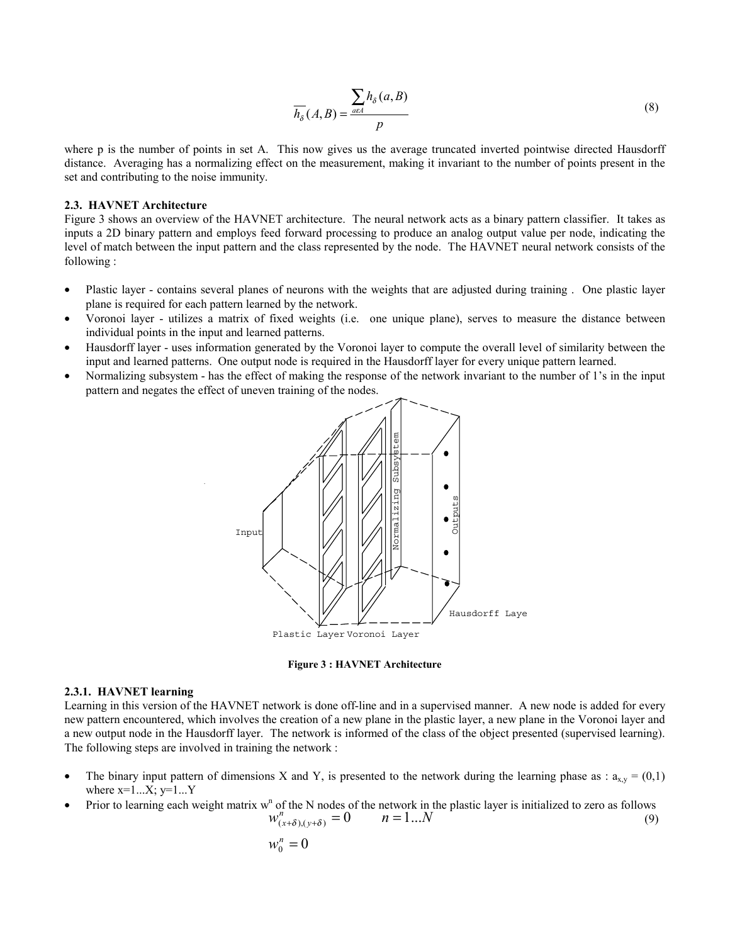$$
\overline{h_{\delta}}(A,B) = \frac{\sum_{a \in A} h_{\delta}(a,B)}{p}
$$
\n(8)

where p is the number of points in set A. This now gives us the average truncated inverted pointwise directed Hausdorff distance. Averaging has a normalizing effect on the measurement, making it invariant to the number of points present in the set and contributing to the noise immunity.

### **2.3. HAVNET Architecture**

Figure 3 shows an overview of the HAVNET architecture. The neural network acts as a binary pattern classifier. It takes as inputs a 2D binary pattern and employs feed forward processing to produce an analog output value per node, indicating the level of match between the input pattern and the class represented by the node. The HAVNET neural network consists of the following :

- Plastic layer contains several planes of neurons with the weights that are adjusted during training . One plastic layer plane is required for each pattern learned by the network.
- Voronoi layer utilizes a matrix of fixed weights (i.e. one unique plane), serves to measure the distance between individual points in the input and learned patterns.
- Hausdorff layer uses information generated by the Voronoi layer to compute the overall level of similarity between the input and learned patterns. One output node is required in the Hausdorff layer for every unique pattern learned.
- Normalizing subsystem has the effect of making the response of the network invariant to the number of 1's in the input pattern and negates the effect of uneven training of the nodes.



**Figure 3 : HAVNET Architecture**

#### **2.3.1. HAVNET learning**

Learning in this version of the HAVNET network is done off-line and in a supervised manner. A new node is added for every new pattern encountered, which involves the creation of a new plane in the plastic layer, a new plane in the Voronoi layer and a new output node in the Hausdorff layer. The network is informed of the class of the object presented (supervised learning). The following steps are involved in training the network :

- The binary input pattern of dimensions X and Y, is presented to the network during the learning phase as :  $a_{xy} = (0,1)$ where  $x=1...X$ ;  $y=1...Y$
- Prior to learning each weight matrix  $w<sup>n</sup>$  of the N nodes of the network in the plastic layer is initialized to zero as follows (9)  $w_{(x+\delta)(y+\delta)}^n = 0$   $n = 1...N$  $_{(+\delta)(y+\delta)} = 0$   $n =$  $w'$

$$
w_{(x+\delta)(y+\delta)} = 0 \t n = 1...N
$$
  

$$
w_0^n = 0
$$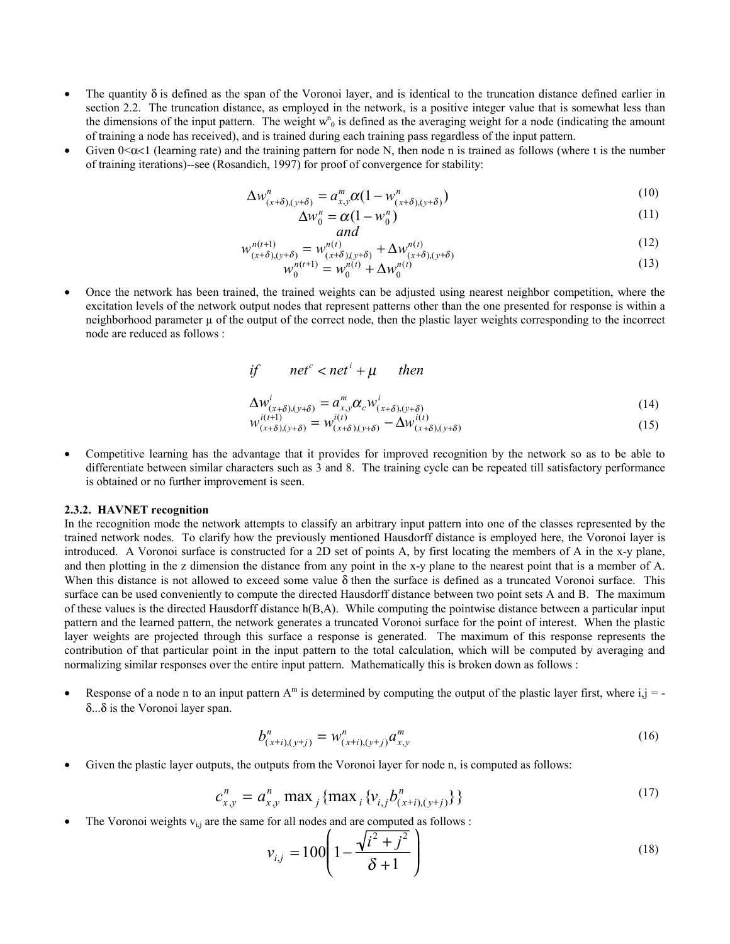- The quantity  $\delta$  is defined as the span of the Voronoi layer, and is identical to the truncation distance defined earlier in section 2.2. The truncation distance, as employed in the network, is a positive integer value that is somewhat less than the dimensions of the input pattern. The weight  $w_0$  is defined as the averaging weight for a node (indicating the amount of training a node has received), and is trained during each training pass regardless of the input pattern.
- Given  $0 \le \alpha \le 1$  (learning rate) and the training pattern for node N, then node n is trained as follows (where t is the number of training iterations)--see (Rosandich, 1997) for proof of convergence for stability:

$$
\Delta w_{(x+\delta),(y+\delta)}^n = a_{x,y}^m \alpha (1 - w_{(x+\delta),(y+\delta)}^n)
$$
\n(10)

$$
\Delta w_0^n = \alpha (1 - w_0^n) \tag{11}
$$

$$
w_{(x+\delta),(y+\delta)}^{n(t+1)} = w_{(x+\delta)(y+\delta)}^{n(t)} + \Delta w_{(x+\delta),(y+\delta)}^{n(t)} \tag{12}
$$

$$
w_0^{n(t+1)} = w_0^{n(t)} + \Delta w_0^{n(t)}
$$
 (13)

• Once the network has been trained, the trained weights can be adjusted using nearest neighbor competition, where the excitation levels of the network output nodes that represent patterns other than the one presented for response is within a neighborhood parameter µ of the output of the correct node, then the plastic layer weights corresponding to the incorrect node are reduced as follows :

$$
if \qquad net^c < net^i + \mu \qquad then
$$

$$
\Delta w_{(x+\delta),(y+\delta)}^i = a_{x,y}^m \alpha_c w_{(x+\delta),(y+\delta)}^i
$$
\n
$$
i(t)
$$
\n(14)

$$
w_{(x+\delta)(y+\delta)}^{i(t+1)} = w_{(x+\delta)(y+\delta)}^{i(t)} - \Delta w_{(x+\delta)(y+\delta)}^{i(t)}
$$
\n(15)

• Competitive learning has the advantage that it provides for improved recognition by the network so as to be able to differentiate between similar characters such as 3 and 8. The training cycle can be repeated till satisfactory performance is obtained or no further improvement is seen.

### **2.3.2. HAVNET recognition**

In the recognition mode the network attempts to classify an arbitrary input pattern into one of the classes represented by the trained network nodes. To clarify how the previously mentioned Hausdorff distance is employed here, the Voronoi layer is introduced. A Voronoi surface is constructed for a 2D set of points A, by first locating the members of A in the x-y plane, and then plotting in the z dimension the distance from any point in the x-y plane to the nearest point that is a member of A. When this distance is not allowed to exceed some value δ then the surface is defined as a truncated Voronoi surface. This surface can be used conveniently to compute the directed Hausdorff distance between two point sets A and B. The maximum of these values is the directed Hausdorff distance h(B,A). While computing the pointwise distance between a particular input pattern and the learned pattern, the network generates a truncated Voronoi surface for the point of interest. When the plastic layer weights are projected through this surface a response is generated. The maximum of this response represents the contribution of that particular point in the input pattern to the total calculation, which will be computed by averaging and normalizing similar responses over the entire input pattern. Mathematically this is broken down as follows :

Response of a node n to an input pattern  $A^m$  is determined by computing the output of the plastic layer first, where i,j = δ...δ is the Voronoi layer span.

$$
b_{(x+i),(y+j)}^n = w_{(x+i),(y+j)}^n a_{x,y}^m \tag{16}
$$

Given the plastic layer outputs, the outputs from the Voronoi layer for node n, is computed as follows:

$$
c_{x,y}^{n} = a_{x,y}^{n} \max_{j} \{ \max_{i} \{ v_{i,j} b_{(x+i),(y+j)}^{n} \} \}
$$
\n(17)

The Voronoi weights  $v_{i,j}$  are the same for all nodes and are computed as follows :

$$
v_{i,j} = 100 \left( 1 - \frac{\sqrt{i^2 + j^2}}{\delta + 1} \right)
$$
 (18)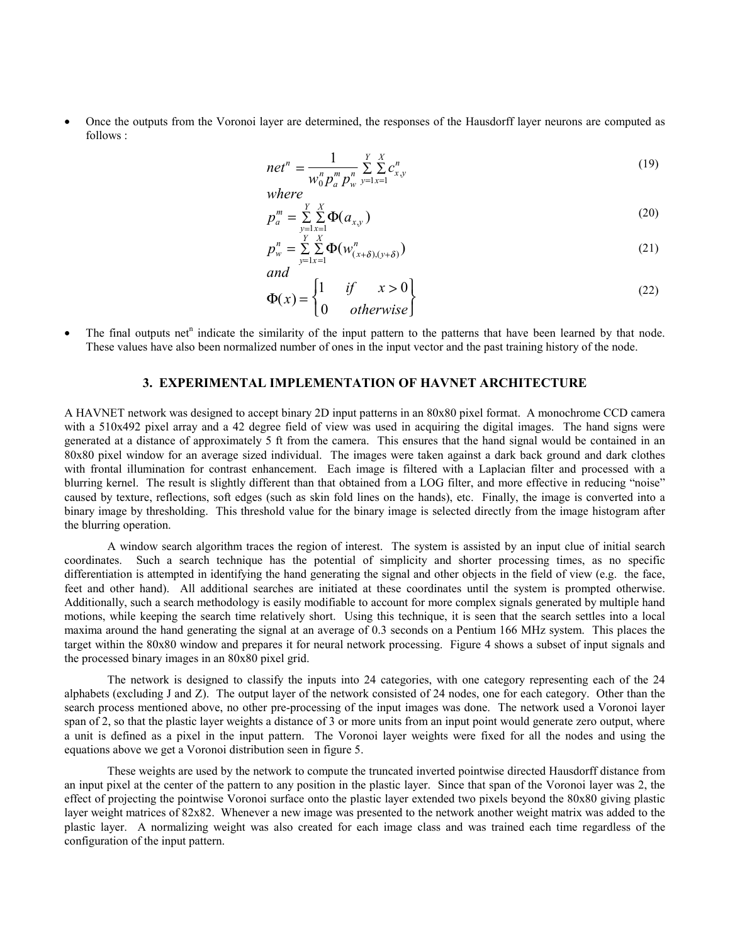• Once the outputs from the Voronoi layer are determined, the responses of the Hausdorff layer neurons are computed as follows :

$$
net^{n} = \frac{1}{w_{0}^{n} p_{a}^{m} p_{w}^{n}} \sum_{y=1}^{Y} \sum_{x=1}^{X} c_{x,y}^{n}
$$
\n(19)

\nwhere

$$
p_a^m = \sum_{y=1}^Y \sum_{x=1}^X \Phi(a_{x,y})
$$
\n(20)

$$
p_w^n = \sum_{y=1}^Y \sum_{x=1}^X \Phi(w_{(x+\delta)(y+\delta)}^n)
$$
\n(21)

\nand

$$
\Phi(x) = \begin{cases} 1 & \text{if } x > 0 \\ 0 & \text{otherwise} \end{cases}
$$
 (22)

 $\bullet$  The final outputs net<sup>n</sup> indicate the similarity of the input pattern to the patterns that have been learned by that node. These values have also been normalized number of ones in the input vector and the past training history of the node.

# **3. EXPERIMENTAL IMPLEMENTATION OF HAVNET ARCHITECTURE**

A HAVNET network was designed to accept binary 2D input patterns in an 80x80 pixel format. A monochrome CCD camera with a 510x492 pixel array and a 42 degree field of view was used in acquiring the digital images. The hand signs were generated at a distance of approximately 5 ft from the camera. This ensures that the hand signal would be contained in an 80x80 pixel window for an average sized individual. The images were taken against a dark back ground and dark clothes with frontal illumination for contrast enhancement. Each image is filtered with a Laplacian filter and processed with a blurring kernel. The result is slightly different than that obtained from a LOG filter, and more effective in reducing "noise" caused by texture, reflections, soft edges (such as skin fold lines on the hands), etc. Finally, the image is converted into a binary image by thresholding. This threshold value for the binary image is selected directly from the image histogram after the blurring operation.

A window search algorithm traces the region of interest. The system is assisted by an input clue of initial search coordinates. Such a search technique has the potential of simplicity and shorter processing times, as no specific differentiation is attempted in identifying the hand generating the signal and other objects in the field of view (e.g. the face, feet and other hand). All additional searches are initiated at these coordinates until the system is prompted otherwise. Additionally, such a search methodology is easily modifiable to account for more complex signals generated by multiple hand motions, while keeping the search time relatively short. Using this technique, it is seen that the search settles into a local maxima around the hand generating the signal at an average of 0.3 seconds on a Pentium 166 MHz system. This places the target within the 80x80 window and prepares it for neural network processing. Figure 4 shows a subset of input signals and the processed binary images in an 80x80 pixel grid.

The network is designed to classify the inputs into 24 categories, with one category representing each of the 24 alphabets (excluding J and Z). The output layer of the network consisted of 24 nodes, one for each category. Other than the search process mentioned above, no other pre-processing of the input images was done. The network used a Voronoi layer span of 2, so that the plastic layer weights a distance of 3 or more units from an input point would generate zero output, where a unit is defined as a pixel in the input pattern. The Voronoi layer weights were fixed for all the nodes and using the equations above we get a Voronoi distribution seen in figure 5.

These weights are used by the network to compute the truncated inverted pointwise directed Hausdorff distance from an input pixel at the center of the pattern to any position in the plastic layer. Since that span of the Voronoi layer was 2, the effect of projecting the pointwise Voronoi surface onto the plastic layer extended two pixels beyond the 80x80 giving plastic layer weight matrices of 82x82. Whenever a new image was presented to the network another weight matrix was added to the plastic layer. A normalizing weight was also created for each image class and was trained each time regardless of the configuration of the input pattern.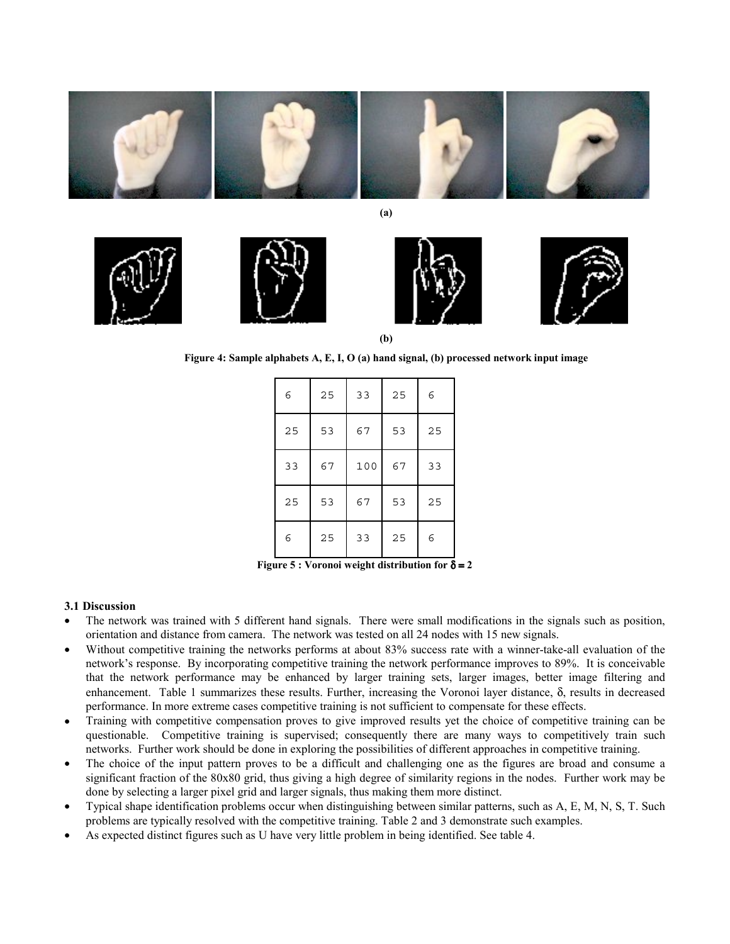







**(b)**

**Figure 4: Sample alphabets A, E, I, O (a) hand signal, (b) processed network input image**

| $\epsilon$ | 25 | 33  | 25 | 6  |
|------------|----|-----|----|----|
| 25         | 53 | 67  | 53 | 25 |
| 33         | 67 | 100 | 67 | 33 |
| 25         | 53 | 67  | 53 | 25 |
| $\epsilon$ | 25 | 33  | 25 | 6  |

**Figure 5 : Voronoi weight distribution for**  $\delta = 2$ 

## **3.1 Discussion**

- The network was trained with 5 different hand signals. There were small modifications in the signals such as position, orientation and distance from camera. The network was tested on all 24 nodes with 15 new signals.
- Without competitive training the networks performs at about 83% success rate with a winner-take-all evaluation of the network's response. By incorporating competitive training the network performance improves to 89%. It is conceivable that the network performance may be enhanced by larger training sets, larger images, better image filtering and enhancement. Table 1 summarizes these results. Further, increasing the Voronoi layer distance, δ, results in decreased performance. In more extreme cases competitive training is not sufficient to compensate for these effects.
- Training with competitive compensation proves to give improved results yet the choice of competitive training can be questionable. Competitive training is supervised; consequently there are many ways to competitively train such networks. Further work should be done in exploring the possibilities of different approaches in competitive training.
- The choice of the input pattern proves to be a difficult and challenging one as the figures are broad and consume a significant fraction of the 80x80 grid, thus giving a high degree of similarity regions in the nodes. Further work may be done by selecting a larger pixel grid and larger signals, thus making them more distinct.
- Typical shape identification problems occur when distinguishing between similar patterns, such as A, E, M, N, S, T. Such problems are typically resolved with the competitive training. Table 2 and 3 demonstrate such examples.
- As expected distinct figures such as U have very little problem in being identified. See table 4.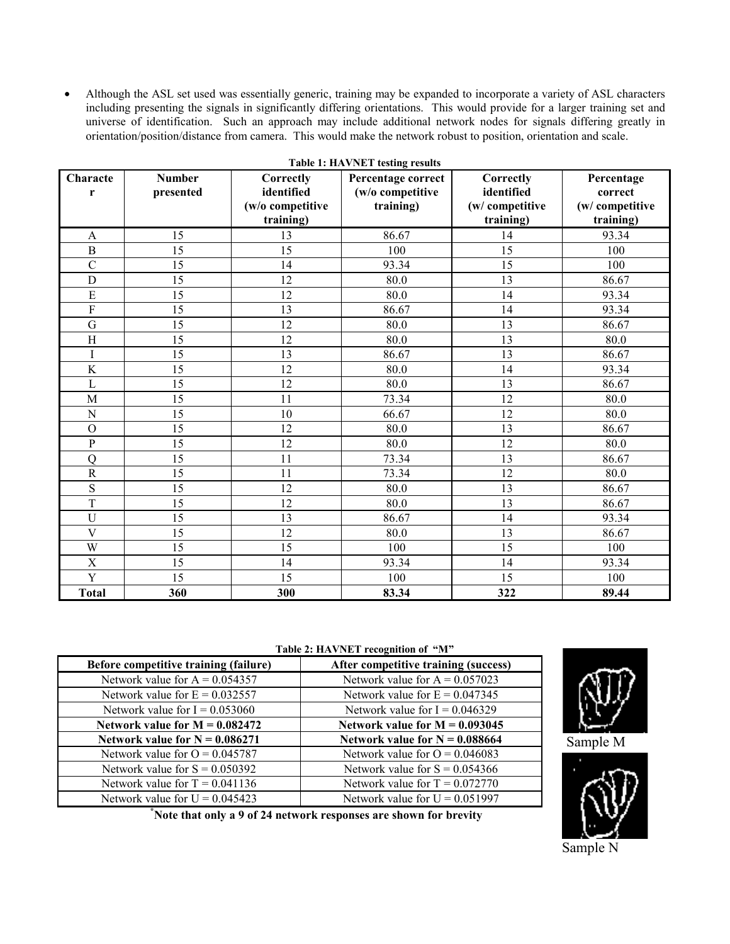• Although the ASL set used was essentially generic, training may be expanded to incorporate a variety of ASL characters including presenting the signals in significantly differing orientations. This would provide for a larger training set and universe of identification. Such an approach may include additional network nodes for signals differing greatly in orientation/position/distance from camera. This would make the network robust to position, orientation and scale.

| <b>Table 1: HAVNET testing results</b> |                            |                                                          |                                                     |                                                         |                                                       |  |
|----------------------------------------|----------------------------|----------------------------------------------------------|-----------------------------------------------------|---------------------------------------------------------|-------------------------------------------------------|--|
| Characte<br>r                          | <b>Number</b><br>presented | Correctly<br>identified<br>(w/o competitive<br>training) | Percentage correct<br>(w/o competitive<br>training) | Correctly<br>identified<br>(w/ competitive<br>training) | Percentage<br>correct<br>(w/ competitive<br>training) |  |
| A                                      | 15                         | 13                                                       | 86.67                                               | 14                                                      | 93.34                                                 |  |
| $\, {\bf B}$                           | 15                         | 15                                                       | 100                                                 | 15                                                      | 100                                                   |  |
| $\mathbf C$                            | 15                         | 14                                                       | 93.34                                               | 15                                                      | 100                                                   |  |
| D                                      | 15                         | 12                                                       | 80.0                                                | 13                                                      | 86.67                                                 |  |
| ${\bf E}$                              | 15                         | 12                                                       | 80.0                                                | 14                                                      | 93.34                                                 |  |
| $\rm F$                                | 15                         | 13                                                       | 86.67                                               | 14                                                      | 93.34                                                 |  |
| G                                      | 15                         | 12                                                       | 80.0                                                | 13                                                      | 86.67                                                 |  |
| H                                      | 15                         | 12                                                       | 80.0                                                | 13                                                      | 80.0                                                  |  |
| $\overline{I}$                         | 15                         | 13                                                       | 86.67                                               | 13                                                      | 86.67                                                 |  |
| $\rm K$                                | 15                         | 12                                                       | 80.0                                                | 14                                                      | 93.34                                                 |  |
| L                                      | 15                         | 12                                                       | 80.0                                                | 13                                                      | 86.67                                                 |  |
| M                                      | 15                         | 11                                                       | 73.34                                               | 12                                                      | 80.0                                                  |  |
| $\overline{N}$                         | 15                         | 10                                                       | 66.67                                               | 12                                                      | 80.0                                                  |  |
| $\mathbf{O}$                           | 15                         | 12                                                       | 80.0                                                | 13                                                      | 86.67                                                 |  |
| ${\bf P}$                              | 15                         | 12                                                       | 80.0                                                | 12                                                      | 80.0                                                  |  |
| Q                                      | 15                         | 11                                                       | 73.34                                               | 13                                                      | 86.67                                                 |  |
| $\overline{R}$                         | 15                         | 11                                                       | 73.34                                               | 12                                                      | 80.0                                                  |  |
| ${\bf S}$                              | 15                         | 12                                                       | 80.0                                                | 13                                                      | 86.67                                                 |  |
| $\overline{T}$                         | 15                         | 12                                                       | 80.0                                                | 13                                                      | 86.67                                                 |  |
| U                                      | 15                         | 13                                                       | 86.67                                               | 14                                                      | 93.34                                                 |  |
| V                                      | 15                         | 12                                                       | 80.0                                                | 13                                                      | 86.67                                                 |  |
| W                                      | 15                         | 15                                                       | 100                                                 | 15                                                      | 100                                                   |  |
| $\overline{X}$                         | 15                         | 14                                                       | 93.34                                               | 14                                                      | 93.34                                                 |  |
| $\overline{Y}$                         | 15                         | 15                                                       | 100                                                 | 15                                                      | 100                                                   |  |
| <b>Total</b>                           | 360                        | 300                                                      | 83.34                                               | 322                                                     | 89.44                                                 |  |

**Table 2: HAVNET recognition of "M"**

| Before competitive training (failure) | After competitive training (success) |  |  |  |
|---------------------------------------|--------------------------------------|--|--|--|
| Network value for $A = 0.054357$      | Network value for $A = 0.057023$     |  |  |  |
| Network value for $E = 0.032557$      | Network value for $E = 0.047345$     |  |  |  |
| Network value for $I = 0.053060$      | Network value for $I = 0.046329$     |  |  |  |
| Network value for $M = 0.082472$      | Network value for $M = 0.093045$     |  |  |  |
| Network value for $N = 0.086271$      | Network value for $N = 0.088664$     |  |  |  |
| Network value for $O = 0.045787$      | Network value for $O = 0.046083$     |  |  |  |
| Network value for $S = 0.050392$      | Network value for $S = 0.054366$     |  |  |  |
| Network value for $T = 0.041136$      | Network value for $T = 0.072770$     |  |  |  |
| Network value for $U = 0.045423$      | Network value for $U = 0.051997$     |  |  |  |





Sample N

**\* Note that only a 9 of 24 network responses are shown for brevity**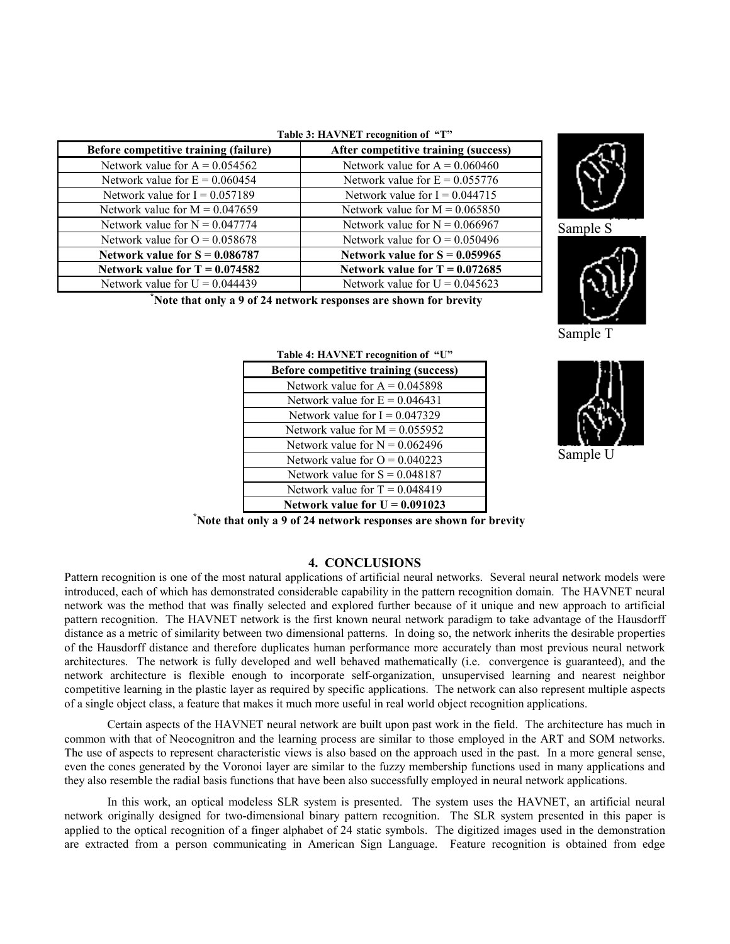## **Table 3: HAVNET recognition of "T"**

| Before competitive training (failure) | After competitive training (success) |
|---------------------------------------|--------------------------------------|
| Network value for $A = 0.054562$      | Network value for $A = 0.060460$     |
| Network value for $E = 0.060454$      | Network value for $E = 0.055776$     |
| Network value for $I = 0.057189$      | Network value for $I = 0.044715$     |
| Network value for $M = 0.047659$      | Network value for $M = 0.065850$     |
| Network value for $N = 0.047774$      | Network value for $N = 0.066967$     |
| Network value for $Q = 0.058678$      | Network value for $Q = 0.050496$     |
| Network value for $S = 0.086787$      | Network value for $S = 0.059965$     |
| Network value for $T = 0.074582$      | Network value for $T = 0.072685$     |
| Network value for $U = 0.044439$      | Network value for $U = 0.045623$     |

**\* Note that only a 9 of 24 network responses are shown for brevity**

| Table 4: HAVNET recognition of "U"    |
|---------------------------------------|
| Before competitive training (success) |
| Network value for $A = 0.045898$      |
| Network value for $E = 0.046431$      |
| Network value for $I = 0.047329$      |
| Network value for $M = 0.055952$      |
| Network value for $N = 0.062496$      |
| Network value for $Q = 0.040223$      |
| Network value for $S = 0.048187$      |
| Network value for $T = 0.048419$      |
| Network value for $U = 0.091023$      |



Sample S

Sample T

**\* Note that only a 9 of 24 network responses are shown for brevity**

#### **4. CONCLUSIONS**

Pattern recognition is one of the most natural applications of artificial neural networks. Several neural network models were introduced, each of which has demonstrated considerable capability in the pattern recognition domain. The HAVNET neural network was the method that was finally selected and explored further because of it unique and new approach to artificial pattern recognition. The HAVNET network is the first known neural network paradigm to take advantage of the Hausdorff distance as a metric of similarity between two dimensional patterns. In doing so, the network inherits the desirable properties of the Hausdorff distance and therefore duplicates human performance more accurately than most previous neural network architectures. The network is fully developed and well behaved mathematically (i.e. convergence is guaranteed), and the network architecture is flexible enough to incorporate self-organization, unsupervised learning and nearest neighbor competitive learning in the plastic layer as required by specific applications. The network can also represent multiple aspects of a single object class, a feature that makes it much more useful in real world object recognition applications.

Certain aspects of the HAVNET neural network are built upon past work in the field. The architecture has much in common with that of Neocognitron and the learning process are similar to those employed in the ART and SOM networks. The use of aspects to represent characteristic views is also based on the approach used in the past. In a more general sense, even the cones generated by the Voronoi layer are similar to the fuzzy membership functions used in many applications and they also resemble the radial basis functions that have been also successfully employed in neural network applications.

In this work, an optical modeless SLR system is presented. The system uses the HAVNET, an artificial neural network originally designed for two-dimensional binary pattern recognition. The SLR system presented in this paper is applied to the optical recognition of a finger alphabet of 24 static symbols. The digitized images used in the demonstration are extracted from a person communicating in American Sign Language. Feature recognition is obtained from edge